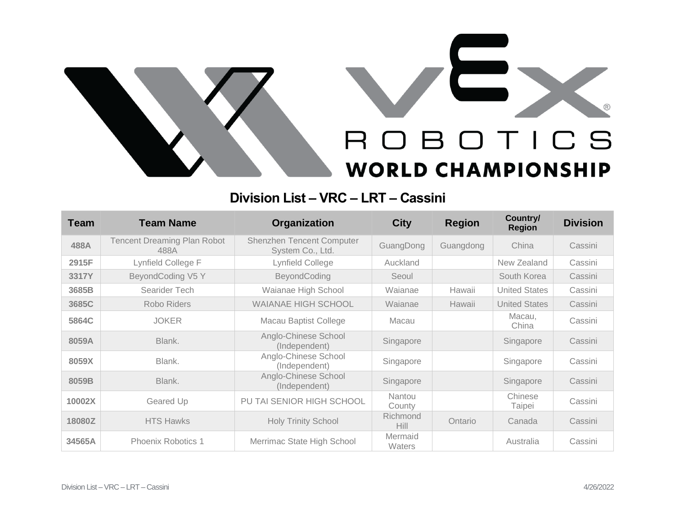

## **Division List – VRC – LRT – Cassini**

| <b>Team</b> | <b>Team Name</b>                           | Organization                                  | <b>City</b>             | <b>Region</b> | Country/<br><b>Region</b> | <b>Division</b> |
|-------------|--------------------------------------------|-----------------------------------------------|-------------------------|---------------|---------------------------|-----------------|
| 488A        | <b>Tencent Dreaming Plan Robot</b><br>488A | Shenzhen Tencent Computer<br>System Co., Ltd. | GuangDong               | Guangdong     | China                     | Cassini         |
| 2915F       | Lynfield College F                         | Lynfield College                              | Auckland                |               | New Zealand               | Cassini         |
| 3317Y       | BeyondCoding V5 Y                          | BeyondCoding                                  | Seoul                   |               | South Korea               | Cassini         |
| 3685B       | Searider Tech                              | Waianae High School                           | Wajanae                 | Hawaii        | <b>United States</b>      | Cassini         |
| 3685C       | Robo Riders                                | <b>WAIANAE HIGH SCHOOL</b>                    | Wajanae                 | Hawaii        | <b>United States</b>      | Cassini         |
| 5864C       | <b>JOKER</b>                               | <b>Macau Baptist College</b>                  | Macau                   |               | Macau,<br>China           | Cassini         |
| 8059A       | Blank.                                     | Anglo-Chinese School<br>(Independent)         | Singapore               |               | Singapore                 | Cassini         |
| 8059X       | Blank.                                     | Anglo-Chinese School<br>(Independent)         | Singapore               |               | Singapore                 | Cassini         |
| 8059B       | Blank.                                     | Anglo-Chinese School<br>(Independent)         | Singapore               |               | Singapore                 | Cassini         |
| 10002X      | Geared Up                                  | PU TAI SENIOR HIGH SCHOOL                     | <b>Nantou</b><br>County |               | Chinese<br>Taipei         | Cassini         |
| 18080Z      | <b>HTS Hawks</b>                           | <b>Holy Trinity School</b>                    | Richmond<br><b>Hill</b> | Ontario       | Canada                    | Cassini         |
| 34565A      | Phoenix Robotics 1                         | Merrimac State High School                    | Mermaid<br>Waters       |               | Australia                 | Cassini         |